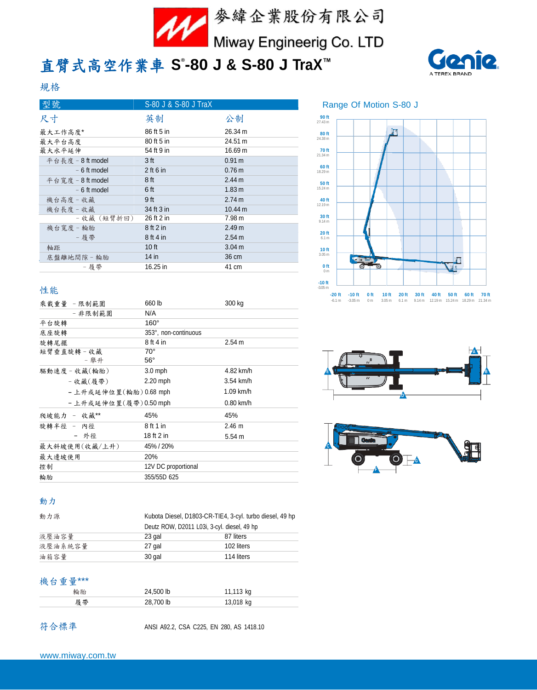

# 直臂式高空作業車 **S ® -80 J & S-80 J TraX™**



# 規格

| 型號                | S-80 J & S-80 J TraX |                   |
|-------------------|----------------------|-------------------|
| 尺寸                | 英制                   | 公制                |
| 最大工作高度*           | 86 ft 5 in           | 26.34 m           |
| 最大平台高度            | 80 ft 5 in           | 24.51 m           |
| 最大水平延伸            | 54 ft 9 in           | 16.69 m           |
| 平台長度 - 8 ft model | 3 ft                 | 0.91 m            |
| $-6$ ft model     | $2$ ft 6 in          | $0.76 \text{ m}$  |
| 平台寬度 - 8 ft model | 8 ft                 | 2.44 m            |
| $-6$ ft model     | 6 ft                 | 1.83 <sub>m</sub> |
| 機台高度 - 收藏         | 9 ft                 | 2.74 m            |
| 機台長度 - 收藏         | 34 ft 3 in           | 10.44 m           |
| - 收藏(短臂折回)        | 26 ft 2 in           | 7.98 m            |
| 機台寬度 - 輪胎         | 8 ft 2 in            | 2.49 m            |
| - 履帶              | 8 ft 4 in            | 2.54 m            |
| 軸距                | 10 ft                | 3.04 <sub>m</sub> |
| 底盤離地間隙‐輪胎         | $14$ in              | 36 cm             |
| - 履帯              | 16.25 in             | 41 cm             |

# Range Of Motion S-80 J



## 性能

| 乘載重量 -限制範圍             | 660 lb                       | 300 kg      |  |
|------------------------|------------------------------|-------------|--|
| - 非限制範圍                | N/A                          |             |  |
| 平台旋轉                   | $160^\circ$                  |             |  |
| 底座旋轉                   | 353°, non-continuous         |             |  |
| 旋轉尾擺                   | 8 ft 4 in                    | 2.54 m      |  |
| 短臂垂直旋轉 - 收藏<br>- 舉升    | $70^{\circ}$<br>$56^{\circ}$ |             |  |
| 驅動速度 - 收藏(輪胎)          | $3.0$ mph                    | 4.82 km/h   |  |
| - 收藏(履帶)               | 2.20 mph                     | 3.54 km/h   |  |
| - 上升或延伸位置(輪胎) 0.68 mph |                              | $1.09$ km/h |  |
| - 上升或延伸位置(履帶)0.50 mph  |                              | $0.80$ km/h |  |
| 爬坡能力 - 收藏**            | 45%                          | 45%         |  |
| 旋轉半徑 - 內徑              | 8 ft 1 in                    | $2.46 \; m$ |  |
| - 外徑                   | 18 ft 2 in                   | 5.54 m      |  |
| 最大斜坡使用(收藏/上升)          | 45% / 20%                    |             |  |
| 最大邊坡使用                 | 20%                          |             |  |
| 控制                     | 12V DC proportional          |             |  |
| 輪胎                     | 355/55D 625                  |             |  |





### 動力

| 動力源     | Kubota Diesel, D1803-CR-TIE4, 3-cyl. turbo diesel, 49 hp |            |  |
|---------|----------------------------------------------------------|------------|--|
|         | Deutz ROW, D2011 L03i, 3-cyl. diesel, 49 hp              |            |  |
| 液壓油容量   | 23 gal                                                   | 87 liters  |  |
| 液壓油系統容量 | 27 gal                                                   | 102 liters |  |
| 油箱容量    | 30 gal                                                   | 114 liters |  |

## 機台重量\*\*\*

| 輪胎  | 24,500 lb | 11,113 kg |  |
|-----|-----------|-----------|--|
| 扇 帶 | 28,700 lb | 13,018 kg |  |